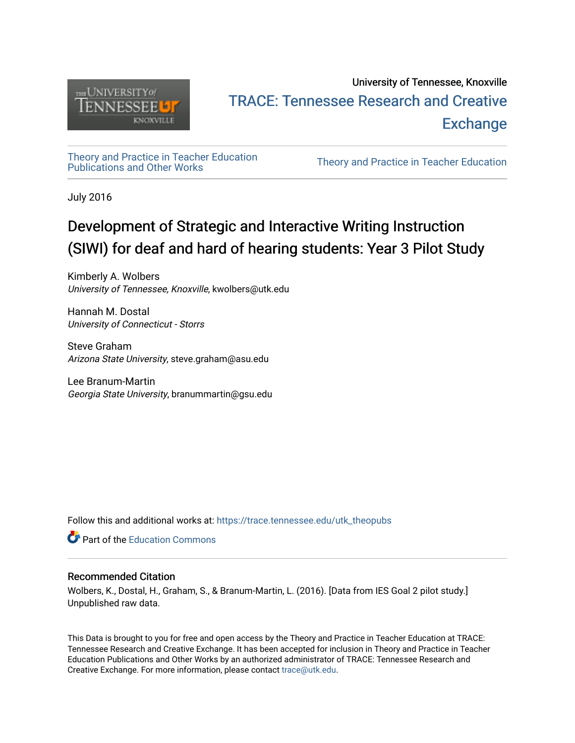

### University of Tennessee, Knoxville TRACE: T[ennessee Research and Cr](https://trace.tennessee.edu/)eative **Exchange**

# [Theory and Practice in Teacher Education](https://trace.tennessee.edu/utk_theopubs)

Theory and Practice in Teacher Education

July 2016

## Development of Strategic and Interactive Writing Instruction (SIWI) for deaf and hard of hearing students: Year 3 Pilot Study

Kimberly A. Wolbers University of Tennessee, Knoxville, kwolbers@utk.edu

Hannah M. Dostal University of Connecticut - Storrs

Steve Graham Arizona State University, steve.graham@asu.edu

Lee Branum-Martin Georgia State University, branummartin@gsu.edu

Follow this and additional works at: [https://trace.tennessee.edu/utk\\_theopubs](https://trace.tennessee.edu/utk_theopubs?utm_source=trace.tennessee.edu%2Futk_theopubs%2F13&utm_medium=PDF&utm_campaign=PDFCoverPages)

**Part of the [Education Commons](https://network.bepress.com/hgg/discipline/784?utm_source=trace.tennessee.edu%2Futk_theopubs%2F13&utm_medium=PDF&utm_campaign=PDFCoverPages)** 

#### Recommended Citation

Wolbers, K., Dostal, H., Graham, S., & Branum-Martin, L. (2016). [Data from IES Goal 2 pilot study.] Unpublished raw data.

This Data is brought to you for free and open access by the Theory and Practice in Teacher Education at TRACE: Tennessee Research and Creative Exchange. It has been accepted for inclusion in Theory and Practice in Teacher Education Publications and Other Works by an authorized administrator of TRACE: Tennessee Research and Creative Exchange. For more information, please contact [trace@utk.edu](mailto:trace@utk.edu).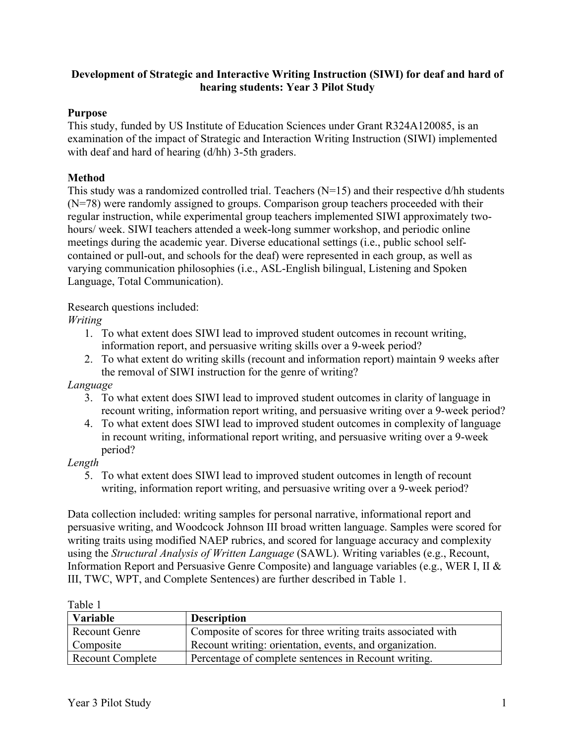#### **Development of Strategic and Interactive Writing Instruction (SIWI) for deaf and hard of hearing students: Year 3 Pilot Study**

#### **Purpose**

This study, funded by US Institute of Education Sciences under Grant R324A120085, is an examination of the impact of Strategic and Interaction Writing Instruction (SIWI) implemented with deaf and hard of hearing (d/hh) 3-5th graders.

#### **Method**

This study was a randomized controlled trial. Teachers  $(N=15)$  and their respective d/hh students (N=78) were randomly assigned to groups. Comparison group teachers proceeded with their regular instruction, while experimental group teachers implemented SIWI approximately twohours/ week. SIWI teachers attended a week-long summer workshop, and periodic online meetings during the academic year. Diverse educational settings (i.e., public school selfcontained or pull-out, and schools for the deaf) were represented in each group, as well as varying communication philosophies (i.e., ASL-English bilingual, Listening and Spoken Language, Total Communication).

Research questions included:

#### *Writing*

- 1. To what extent does SIWI lead to improved student outcomes in recount writing, information report, and persuasive writing skills over a 9-week period?
- 2. To what extent do writing skills (recount and information report) maintain 9 weeks after the removal of SIWI instruction for the genre of writing?

#### *Language*

- 3. To what extent does SIWI lead to improved student outcomes in clarity of language in recount writing, information report writing, and persuasive writing over a 9-week period?
- 4. To what extent does SIWI lead to improved student outcomes in complexity of language in recount writing, informational report writing, and persuasive writing over a 9-week period?

#### *Length*

5. To what extent does SIWI lead to improved student outcomes in length of recount writing, information report writing, and persuasive writing over a 9-week period?

Data collection included: writing samples for personal narrative, informational report and persuasive writing, and Woodcock Johnson III broad written language. Samples were scored for writing traits using modified NAEP rubrics, and scored for language accuracy and complexity using the *Structural Analysis of Written Language* (SAWL). Writing variables (e.g., Recount, Information Report and Persuasive Genre Composite) and language variables (e.g., WER I, II & III, TWC, WPT, and Complete Sentences) are further described in Table 1.

| anı |  |
|-----|--|
|-----|--|

| 1 UUIV 1<br>Variable    | <b>Description</b>                                           |
|-------------------------|--------------------------------------------------------------|
| <b>Recount Genre</b>    | Composite of scores for three writing traits associated with |
| Composite               | Recount writing: orientation, events, and organization.      |
| <b>Recount Complete</b> | Percentage of complete sentences in Recount writing.         |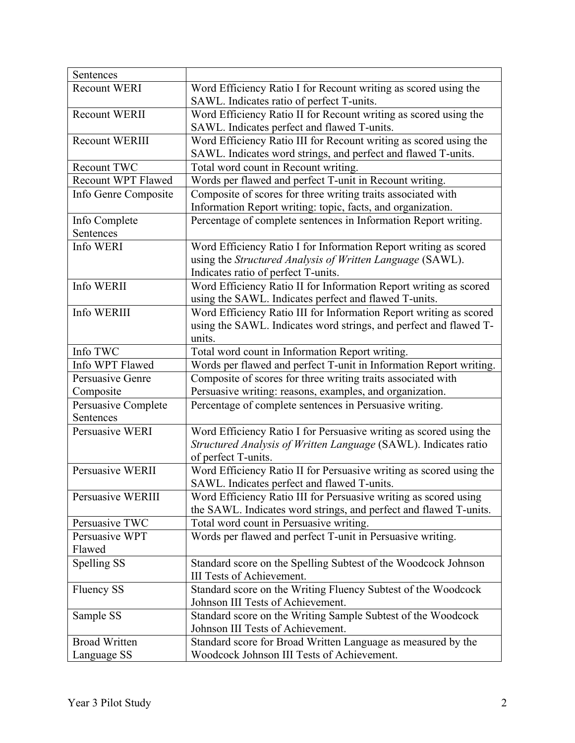| Sentences                 |                                                                     |
|---------------------------|---------------------------------------------------------------------|
| <b>Recount WERI</b>       | Word Efficiency Ratio I for Recount writing as scored using the     |
|                           | SAWL. Indicates ratio of perfect T-units.                           |
| Recount WERII             | Word Efficiency Ratio II for Recount writing as scored using the    |
|                           | SAWL. Indicates perfect and flawed T-units.                         |
| <b>Recount WERIII</b>     | Word Efficiency Ratio III for Recount writing as scored using the   |
|                           | SAWL. Indicates word strings, and perfect and flawed T-units.       |
| Recount TWC               | Total word count in Recount writing.                                |
| <b>Recount WPT Flawed</b> | Words per flawed and perfect T-unit in Recount writing.             |
| Info Genre Composite      | Composite of scores for three writing traits associated with        |
|                           | Information Report writing: topic, facts, and organization.         |
| Info Complete             | Percentage of complete sentences in Information Report writing.     |
| Sentences                 |                                                                     |
| Info WERI                 | Word Efficiency Ratio I for Information Report writing as scored    |
|                           | using the Structured Analysis of Written Language (SAWL).           |
|                           | Indicates ratio of perfect T-units.                                 |
| Info WERII                | Word Efficiency Ratio II for Information Report writing as scored   |
|                           | using the SAWL. Indicates perfect and flawed T-units.               |
| Info WERIII               | Word Efficiency Ratio III for Information Report writing as scored  |
|                           | using the SAWL. Indicates word strings, and perfect and flawed T-   |
|                           | units.                                                              |
| Info TWC                  | Total word count in Information Report writing.                     |
| Info WPT Flawed           | Words per flawed and perfect T-unit in Information Report writing.  |
| Persuasive Genre          | Composite of scores for three writing traits associated with        |
| Composite                 | Persuasive writing: reasons, examples, and organization.            |
| Persuasive Complete       | Percentage of complete sentences in Persuasive writing.             |
| Sentences                 |                                                                     |
| Persuasive WERI           | Word Efficiency Ratio I for Persuasive writing as scored using the  |
|                           | Structured Analysis of Written Language (SAWL). Indicates ratio     |
|                           | of perfect T-units.                                                 |
| Persuasive WERII          | Word Efficiency Ratio II for Persuasive writing as scored using the |
|                           | SAWL. Indicates perfect and flawed T-units.                         |
| Persuasive WERIII         | Word Efficiency Ratio III for Persuasive writing as scored using    |
|                           | the SAWL. Indicates word strings, and perfect and flawed T-units.   |
| Persuasive TWC            | Total word count in Persuasive writing.                             |
| Persuasive WPT            | Words per flawed and perfect T-unit in Persuasive writing.          |
| Flawed                    |                                                                     |
| Spelling SS               | Standard score on the Spelling Subtest of the Woodcock Johnson      |
|                           | <b>III Tests of Achievement.</b>                                    |
| <b>Fluency SS</b>         | Standard score on the Writing Fluency Subtest of the Woodcock       |
|                           | Johnson III Tests of Achievement.                                   |
| Sample SS                 | Standard score on the Writing Sample Subtest of the Woodcock        |
|                           | Johnson III Tests of Achievement.                                   |
| <b>Broad Written</b>      | Standard score for Broad Written Language as measured by the        |
| Language SS               | Woodcock Johnson III Tests of Achievement.                          |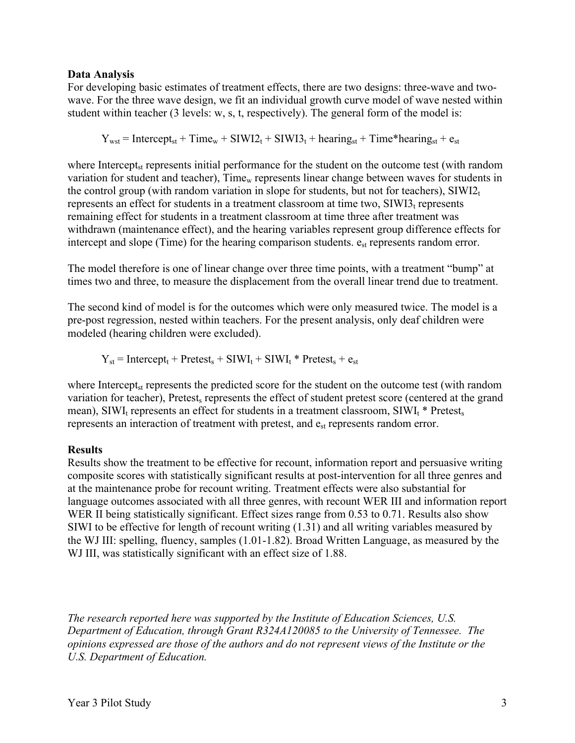#### **Data Analysis**

For developing basic estimates of treatment effects, there are two designs: three-wave and twowave. For the three wave design, we fit an individual growth curve model of wave nested within student within teacher (3 levels: w, s, t, respectively). The general form of the model is:

 $Y_{wst}$  = Intercept<sub>st</sub> + Time<sub>w</sub> + SIWI2<sub>t</sub> + SIWI3<sub>t</sub> + hearing<sub>st</sub> + Time\*hearing<sub>st</sub> + e<sub>st</sub>

where Intercept<sub>st</sub> represents initial performance for the student on the outcome test (with random variation for student and teacher), Time<sub>w</sub> represents linear change between waves for students in the control group (with random variation in slope for students, but not for teachers),  $\text{SIW12}_t$ represents an effect for students in a treatment classroom at time two,  $\text{SIWI3}_t$  represents remaining effect for students in a treatment classroom at time three after treatment was withdrawn (maintenance effect), and the hearing variables represent group difference effects for intercept and slope (Time) for the hearing comparison students.  $e_{st}$  represents random error.

The model therefore is one of linear change over three time points, with a treatment "bump" at times two and three, to measure the displacement from the overall linear trend due to treatment.

The second kind of model is for the outcomes which were only measured twice. The model is a pre-post regression, nested within teachers. For the present analysis, only deaf children were modeled (hearing children were excluded).

 $Y_{st}$  = Intercept<sub>t</sub> + Pretest<sub>s</sub> + SIWI<sub>t</sub> + SIWI<sub>t</sub> \* Pretest<sub>s</sub> +  $e_{st}$ 

where Intercept<sub>st</sub> represents the predicted score for the student on the outcome test (with random variation for teacher), Pretest, represents the effect of student pretest score (centered at the grand mean), SIWI<sub>t</sub> represents an effect for students in a treatment classroom, SIWI<sub>t</sub>  $*$  Pretest, represents an interaction of treatment with pretest, and  $e_{st}$  represents random error.

#### **Results**

Results show the treatment to be effective for recount, information report and persuasive writing composite scores with statistically significant results at post-intervention for all three genres and at the maintenance probe for recount writing. Treatment effects were also substantial for language outcomes associated with all three genres, with recount WER III and information report WER II being statistically significant. Effect sizes range from 0.53 to 0.71. Results also show SIWI to be effective for length of recount writing (1.31) and all writing variables measured by the WJ III: spelling, fluency, samples (1.01-1.82). Broad Written Language, as measured by the WJ III, was statistically significant with an effect size of 1.88.

*The research reported here was supported by the Institute of Education Sciences, U.S. Department of Education, through Grant R324A120085 to the University of Tennessee. The opinions expressed are those of the authors and do not represent views of the Institute or the U.S. Department of Education.*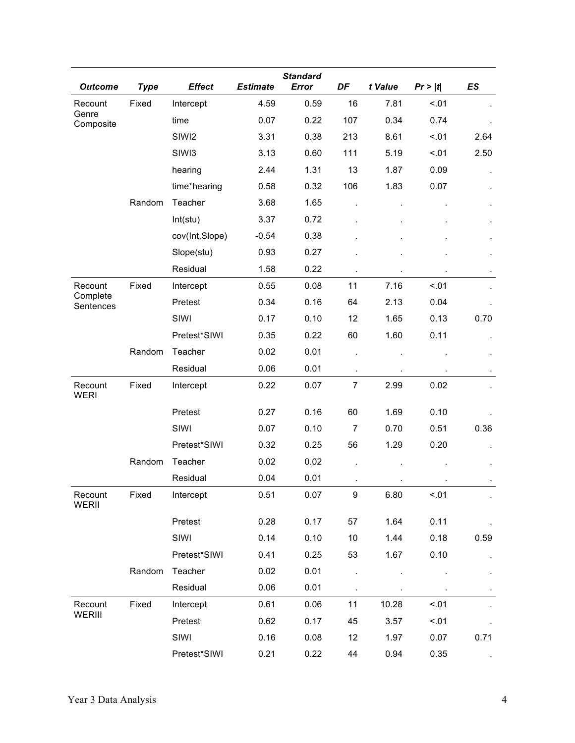| <b>Outcome</b>         | <b>Type</b> | <b>Effect</b>     | <b>Estimate</b> | <b>Standard</b><br>Error | DF             | t Value | Pr >  t | ES             |
|------------------------|-------------|-------------------|-----------------|--------------------------|----------------|---------|---------|----------------|
| Recount                | Fixed       | Intercept         | 4.59            | 0.59                     | 16             | 7.81    | < .01   |                |
| Genre<br>Composite     |             | time              | 0.07            | 0.22                     | 107            | 0.34    | 0.74    |                |
|                        |             | SIWI2             | 3.31            | 0.38                     | 213            | 8.61    | < .01   | 2.64           |
|                        |             | SIW <sub>13</sub> | 3.13            | 0.60                     | 111            | 5.19    | < 0.01  | 2.50           |
|                        |             | hearing           | 2.44            | 1.31                     | 13             | 1.87    | 0.09    |                |
|                        |             | time*hearing      | 0.58            | 0.32                     | 106            | 1.83    | 0.07    |                |
|                        | Random      | Teacher           | 3.68            | 1.65                     |                |         |         |                |
|                        |             | Int(stu)          | 3.37            | 0.72                     |                |         |         |                |
|                        |             | cov(Int,Slope)    | $-0.54$         | 0.38                     |                |         |         |                |
|                        |             | Slope(stu)        | 0.93            | 0.27                     |                |         |         |                |
|                        |             | Residual          | 1.58            | 0.22                     | $\blacksquare$ |         |         |                |
| Recount                | Fixed       | Intercept         | 0.55            | 0.08                     | 11             | 7.16    | < 01    |                |
| Complete<br>Sentences  |             | Pretest           | 0.34            | 0.16                     | 64             | 2.13    | 0.04    |                |
|                        |             | SIWI              | 0.17            | 0.10                     | 12             | 1.65    | 0.13    | 0.70           |
|                        |             | Pretest*SIWI      | 0.35            | 0.22                     | 60             | 1.60    | 0.11    |                |
|                        | Random      | Teacher           | 0.02            | 0.01                     |                |         |         |                |
|                        |             | Residual          | 0.06            | 0.01                     |                |         |         |                |
| Recount<br><b>WERI</b> | Fixed       | Intercept         | 0.22            | 0.07                     | $\overline{7}$ | 2.99    | 0.02    |                |
|                        |             | Pretest           | 0.27            | 0.16                     | 60             | 1.69    | 0.10    |                |
|                        |             | SIWI              | 0.07            | 0.10                     | $\overline{7}$ | 0.70    | 0.51    | 0.36           |
|                        |             | Pretest*SIWI      | 0.32            | 0.25                     | 56             | 1.29    | 0.20    |                |
|                        | Random      | Teacher           | 0.02            | 0.02                     |                |         |         |                |
|                        |             | Residual          | 0.04            | 0.01                     |                |         |         |                |
| Recount<br>WERII       | Fixed       | Intercept         | 0.51            | 0.07                     | 9              | 6.80    | < .01   | $\blacksquare$ |
|                        |             | Pretest           | 0.28            | 0.17                     | 57             | 1.64    | 0.11    |                |
|                        |             | SIWI              | 0.14            | 0.10                     | 10             | 1.44    | 0.18    | 0.59           |
|                        |             | Pretest*SIWI      | 0.41            | 0.25                     | 53             | 1.67    | 0.10    |                |
|                        | Random      | Teacher           | 0.02            | 0.01                     |                |         |         |                |
|                        |             | Residual          | 0.06            | 0.01                     |                |         |         |                |
| Recount                | Fixed       | Intercept         | 0.61            | 0.06                     | 11             | 10.28   | < 0.01  |                |
| WERIII                 |             | Pretest           | 0.62            | 0.17                     | 45             | 3.57    | < 01    |                |
|                        |             | SIWI              | 0.16            | 0.08                     | 12             | 1.97    | 0.07    | 0.71           |
|                        |             | Pretest*SIWI      | 0.21            | 0.22                     | 44             | 0.94    | 0.35    |                |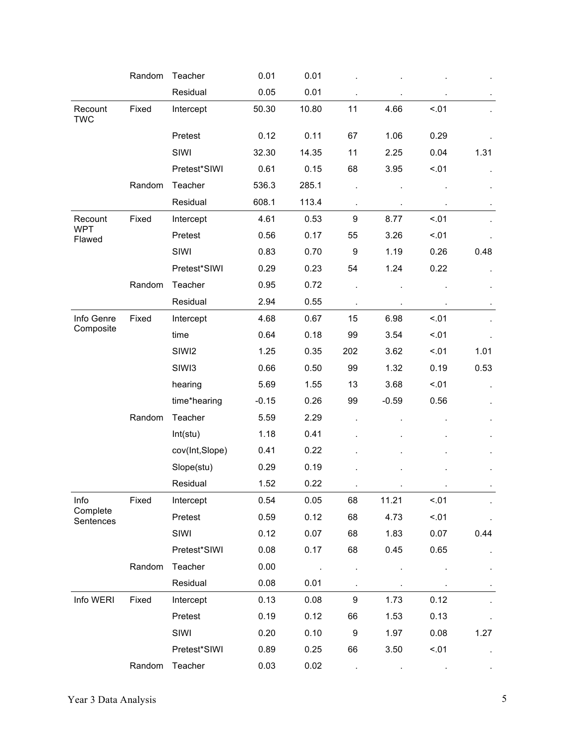|                       | Random | Teacher           | 0.01    | 0.01   |                |         |        |      |
|-----------------------|--------|-------------------|---------|--------|----------------|---------|--------|------|
|                       |        | Residual          | 0.05    | 0.01   |                |         |        |      |
| Recount<br><b>TWC</b> | Fixed  | Intercept         | 50.30   | 10.80  | 11             | 4.66    | < .01  |      |
|                       |        | Pretest           | 0.12    | 0.11   | 67             | 1.06    | 0.29   |      |
|                       |        | SIWI              | 32.30   | 14.35  | 11             | 2.25    | 0.04   | 1.31 |
|                       |        | Pretest*SIWI      | 0.61    | 0.15   | 68             | 3.95    | < .01  |      |
|                       | Random | Teacher           | 536.3   | 285.1  |                |         |        |      |
|                       |        | Residual          | 608.1   | 113.4  |                |         |        |      |
| Recount               | Fixed  | Intercept         | 4.61    | 0.53   | 9              | 8.77    | < .01  |      |
| <b>WPT</b><br>Flawed  |        | Pretest           | 0.56    | 0.17   | 55             | 3.26    | < .01  |      |
|                       |        | SIWI              | 0.83    | 0.70   | 9              | 1.19    | 0.26   | 0.48 |
|                       |        | Pretest*SIWI      | 0.29    | 0.23   | 54             | 1.24    | 0.22   |      |
|                       | Random | Teacher           | 0.95    | 0.72   |                |         |        |      |
|                       |        | Residual          | 2.94    | 0.55   |                |         |        |      |
| Info Genre            | Fixed  | Intercept         | 4.68    | 0.67   | 15             | 6.98    | < .01  |      |
| Composite             |        | time              | 0.64    | 0.18   | 99             | 3.54    | < 01   |      |
|                       |        | SIWI2             | 1.25    | 0.35   | 202            | 3.62    | < 0.01 | 1.01 |
|                       |        | SIW <sub>13</sub> | 0.66    | 0.50   | 99             | 1.32    | 0.19   | 0.53 |
|                       |        | hearing           | 5.69    | 1.55   | 13             | 3.68    | < .01  |      |
|                       |        | time*hearing      | $-0.15$ | 0.26   | 99             | $-0.59$ | 0.56   |      |
|                       | Random | Teacher           | 5.59    | 2.29   |                |         |        |      |
|                       |        | Int(stu)          | 1.18    | 0.41   |                |         |        |      |
|                       |        | cov(Int,Slope)    | 0.41    | 0.22   |                |         |        |      |
|                       |        | Slope(stu)        | 0.29    | 0.19   |                |         |        |      |
|                       |        | Residual          | 1.52    | 0.22   |                |         |        |      |
| Info                  | Fixed  | Intercept         | 0.54    | 0.05   | 68             | 11.21   | < .01  |      |
| Complete<br>Sentences |        | Pretest           | 0.59    | 0.12   | 68             | 4.73    | < 01   |      |
|                       |        | SIWI              | 0.12    | 0.07   | 68             | 1.83    | 0.07   | 0.44 |
|                       |        | Pretest*SIWI      | 0.08    | 0.17   | 68             | 0.45    | 0.65   |      |
|                       | Random | Teacher           | 0.00    | $\sim$ |                |         |        |      |
|                       |        | Residual          | 0.08    | 0.01   | $\blacksquare$ |         |        |      |
| Info WERI             | Fixed  | Intercept         | 0.13    | 0.08   | 9              | 1.73    | 0.12   |      |
|                       |        | Pretest           | 0.19    | 0.12   | 66             | 1.53    | 0.13   |      |
|                       |        | SIWI              | 0.20    | 0.10   | 9              | 1.97    | 0.08   | 1.27 |
|                       |        | Pretest*SIWI      | 0.89    | 0.25   | 66             | 3.50    | < .01  |      |
|                       | Random | Teacher           | 0.03    | 0.02   |                |         |        |      |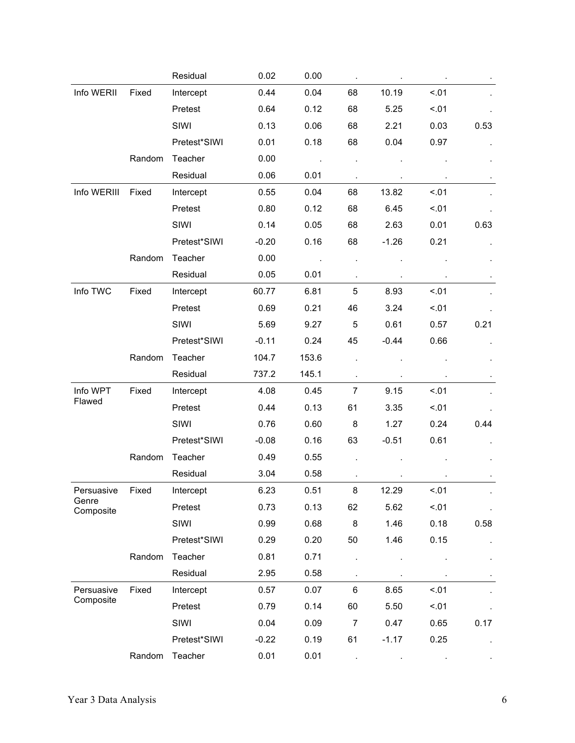|                    |        | Residual     | 0.02    | 0.00  |                |         |        |      |
|--------------------|--------|--------------|---------|-------|----------------|---------|--------|------|
| Info WERII         | Fixed  | Intercept    | 0.44    | 0.04  | 68             | 10.19   | < .01  |      |
|                    |        | Pretest      | 0.64    | 0.12  | 68             | 5.25    | < 01   |      |
|                    |        | SIWI         | 0.13    | 0.06  | 68             | 2.21    | 0.03   | 0.53 |
|                    |        | Pretest*SIWI | 0.01    | 0.18  | 68             | 0.04    | 0.97   |      |
|                    | Random | Teacher      | 0.00    |       |                |         |        |      |
|                    |        | Residual     | 0.06    | 0.01  |                |         |        |      |
| Info WERIII        | Fixed  | Intercept    | 0.55    | 0.04  | 68             | 13.82   | < 0.01 |      |
|                    |        | Pretest      | 0.80    | 0.12  | 68             | 6.45    | < .01  |      |
|                    |        | SIWI         | 0.14    | 0.05  | 68             | 2.63    | 0.01   | 0.63 |
|                    |        | Pretest*SIWI | $-0.20$ | 0.16  | 68             | $-1.26$ | 0.21   |      |
|                    | Random | Teacher      | 0.00    |       |                |         |        |      |
|                    |        | Residual     | 0.05    | 0.01  |                |         |        |      |
| Info TWC           | Fixed  | Intercept    | 60.77   | 6.81  | 5              | 8.93    | < 01   |      |
|                    |        | Pretest      | 0.69    | 0.21  | 46             | 3.24    | 5.01   |      |
|                    |        | SIWI         | 5.69    | 9.27  | 5              | 0.61    | 0.57   | 0.21 |
|                    |        | Pretest*SIWI | $-0.11$ | 0.24  | 45             | $-0.44$ | 0.66   |      |
|                    | Random | Teacher      | 104.7   | 153.6 |                |         |        |      |
|                    |        | Residual     | 737.2   | 145.1 |                |         |        |      |
| Info WPT           | Fixed  | Intercept    | 4.08    | 0.45  | $\overline{7}$ | 9.15    | < 0.01 |      |
| Flawed             |        | Pretest      | 0.44    | 0.13  | 61             | 3.35    | < 01   |      |
|                    |        | SIWI         | 0.76    | 0.60  | 8              | 1.27    | 0.24   | 0.44 |
|                    |        | Pretest*SIWI | $-0.08$ | 0.16  | 63             | $-0.51$ | 0.61   |      |
|                    | Random | Teacher      | 0.49    | 0.55  |                |         |        |      |
|                    |        | Residual     | 3.04    | 0.58  |                |         |        |      |
| Persuasive         | Fixed  | Intercept    | 6.23    | 0.51  | 8              | 12.29   | 5.01   |      |
| Genre<br>Composite |        | Pretest      | 0.73    | 0.13  | 62             | 5.62    | < 01   |      |
|                    |        | SIWI         | 0.99    | 0.68  | 8              | 1.46    | 0.18   | 0.58 |
|                    |        | Pretest*SIWI | 0.29    | 0.20  | 50             | 1.46    | 0.15   |      |
|                    | Random | Teacher      | 0.81    | 0.71  |                |         |        |      |
|                    |        | Residual     | 2.95    | 0.58  |                |         |        |      |
| Persuasive         | Fixed  | Intercept    | 0.57    | 0.07  | 6              | 8.65    | < 01   |      |
| Composite          |        | Pretest      | 0.79    | 0.14  | 60             | 5.50    | < 01   |      |
|                    |        | SIWI         | 0.04    | 0.09  | $\overline{7}$ | 0.47    | 0.65   | 0.17 |
|                    |        | Pretest*SIWI | $-0.22$ | 0.19  | 61             | $-1.17$ | 0.25   |      |
|                    | Random | Teacher      | 0.01    | 0.01  |                |         |        |      |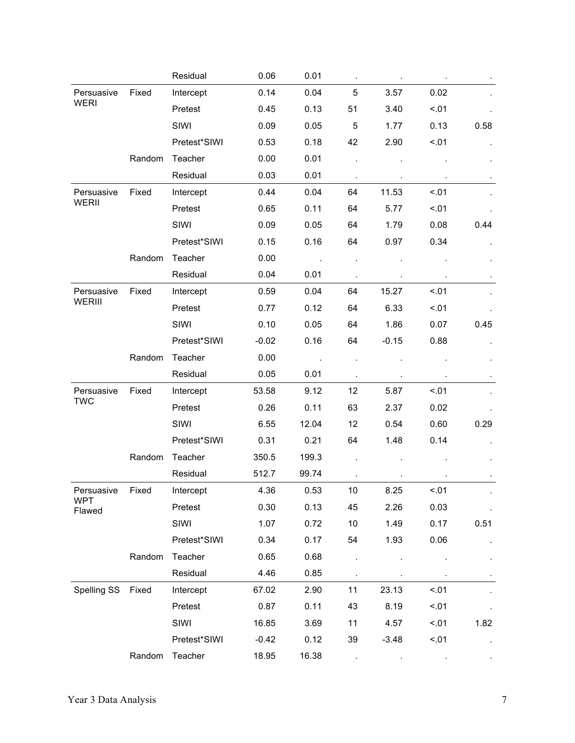|                      |        | Residual     | 0.06    | 0.01  |    |         |        |      |
|----------------------|--------|--------------|---------|-------|----|---------|--------|------|
| Persuasive           | Fixed  | Intercept    | 0.14    | 0.04  | 5  | 3.57    | 0.02   |      |
| <b>WERI</b>          |        | Pretest      | 0.45    | 0.13  | 51 | 3.40    | < 01   |      |
|                      |        | SIWI         | 0.09    | 0.05  | 5  | 1.77    | 0.13   | 0.58 |
|                      |        | Pretest*SIWI | 0.53    | 0.18  | 42 | 2.90    | < 0.01 |      |
|                      | Random | Teacher      | 0.00    | 0.01  |    |         |        |      |
|                      |        | Residual     | 0.03    | 0.01  |    |         |        |      |
| Persuasive           | Fixed  | Intercept    | 0.44    | 0.04  | 64 | 11.53   | < .01  |      |
| WERII                |        | Pretest      | 0.65    | 0.11  | 64 | 5.77    | < 01   |      |
|                      |        | SIWI         | 0.09    | 0.05  | 64 | 1.79    | 0.08   | 0.44 |
|                      |        | Pretest*SIWI | 0.15    | 0.16  | 64 | 0.97    | 0.34   |      |
|                      | Random | Teacher      | 0.00    |       |    |         |        |      |
|                      |        | Residual     | 0.04    | 0.01  |    |         |        |      |
| Persuasive           | Fixed  | Intercept    | 0.59    | 0.04  | 64 | 15.27   | < .01  |      |
| WERIII               |        | Pretest      | 0.77    | 0.12  | 64 | 6.33    | < 01   |      |
|                      |        | SIWI         | 0.10    | 0.05  | 64 | 1.86    | 0.07   | 0.45 |
|                      |        | Pretest*SIWI | $-0.02$ | 0.16  | 64 | $-0.15$ | 0.88   |      |
|                      | Random | Teacher      | 0.00    |       |    |         |        |      |
|                      |        | Residual     | 0.05    | 0.01  |    |         |        |      |
| Persuasive           | Fixed  | Intercept    | 53.58   | 9.12  | 12 | 5.87    | < 01   |      |
| <b>TWC</b>           |        | Pretest      | 0.26    | 0.11  | 63 | 2.37    | 0.02   |      |
|                      |        | SIWI         | 6.55    | 12.04 | 12 | 0.54    | 0.60   | 0.29 |
|                      |        | Pretest*SIWI | 0.31    | 0.21  | 64 | 1.48    | 0.14   |      |
|                      | Random | Teacher      | 350.5   | 199.3 |    |         |        |      |
|                      |        | Residual     | 512.7   | 99.74 |    |         |        |      |
| Persuasive           | Fixed  | Intercept    | 4.36    | 0.53  | 10 | 8.25    | < .01  |      |
| <b>WPT</b><br>Flawed |        | Pretest      | 0.30    | 0.13  | 45 | 2.26    | 0.03   |      |
|                      |        | SIWI         | 1.07    | 0.72  | 10 | 1.49    | 0.17   | 0.51 |
|                      |        | Pretest*SIWI | 0.34    | 0.17  | 54 | 1.93    | 0.06   |      |
|                      | Random | Teacher      | 0.65    | 0.68  |    |         |        |      |
|                      |        | Residual     | 4.46    | 0.85  |    |         |        |      |
| Spelling SS          | Fixed  | Intercept    | 67.02   | 2.90  | 11 | 23.13   | < 01   |      |
|                      |        | Pretest      | 0.87    | 0.11  | 43 | 8.19    | < 01   |      |
|                      |        | SIWI         | 16.85   | 3.69  | 11 | 4.57    | < 01   | 1.82 |
|                      |        | Pretest*SIWI | $-0.42$ | 0.12  | 39 | $-3.48$ | < 01   |      |
|                      | Random | Teacher      | 18.95   | 16.38 |    |         |        |      |